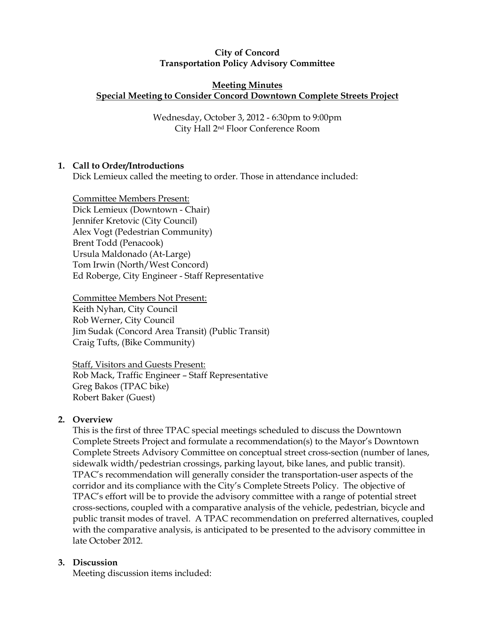## City of Concord Transportation Policy Advisory Committee

## Meeting Minutes Special Meeting to Consider Concord Downtown Complete Streets Project

Wednesday, October 3, 2012 - 6:30pm to 9:00pm City Hall 2nd Floor Conference Room

# 1. Call to Order/Introductions

Dick Lemieux called the meeting to order. Those in attendance included:

Committee Members Present: Dick Lemieux (Downtown - Chair) Jennifer Kretovic (City Council) Alex Vogt (Pedestrian Community) Brent Todd (Penacook) Ursula Maldonado (At-Large) Tom Irwin (North/West Concord) Ed Roberge, City Engineer - Staff Representative

Committee Members Not Present: Keith Nyhan, City Council Rob Werner, City Council Jim Sudak (Concord Area Transit) (Public Transit) Craig Tufts, (Bike Community)

Staff, Visitors and Guests Present: Rob Mack, Traffic Engineer – Staff Representative Greg Bakos (TPAC bike) Robert Baker (Guest)

## 2. Overview

This is the first of three TPAC special meetings scheduled to discuss the Downtown Complete Streets Project and formulate a recommendation(s) to the Mayor's Downtown Complete Streets Advisory Committee on conceptual street cross-section (number of lanes, sidewalk width/pedestrian crossings, parking layout, bike lanes, and public transit). TPAC's recommendation will generally consider the transportation-user aspects of the corridor and its compliance with the City's Complete Streets Policy. The objective of TPAC's effort will be to provide the advisory committee with a range of potential street cross-sections, coupled with a comparative analysis of the vehicle, pedestrian, bicycle and public transit modes of travel. A TPAC recommendation on preferred alternatives, coupled with the comparative analysis, is anticipated to be presented to the advisory committee in late October 2012.

## 3. Discussion

Meeting discussion items included: